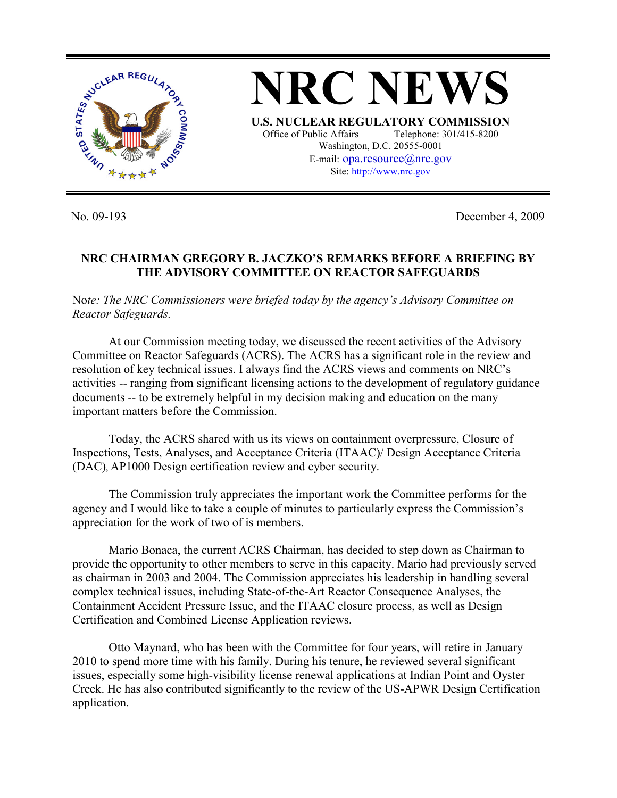

**NRC NEWS U.S. NUCLEAR REGULATORY COMMISSION** Office of Public Affairs Telephone: 301/415-8200 Washington, D.C. 20555-0001 E-mail: opa.resource@nrc.gov Site: http://www.nrc.gov

No. 09-193 December 4, 2009

## **NRC CHAIRMAN GREGORY B. JACZKO'S REMARKS BEFORE A BRIEFING BY THE ADVISORY COMMITTEE ON REACTOR SAFEGUARDS**

No*te: The NRC Commissioners were briefed today by the agency's Advisory Committee on Reactor Safeguards.* 

At our Commission meeting today, we discussed the recent activities of the Advisory Committee on Reactor Safeguards (ACRS). The ACRS has a significant role in the review and resolution of key technical issues. I always find the ACRS views and comments on NRC's activities -- ranging from significant licensing actions to the development of regulatory guidance documents -- to be extremely helpful in my decision making and education on the many important matters before the Commission.

Today, the ACRS shared with us its views on containment overpressure, Closure of Inspections, Tests, Analyses, and Acceptance Criteria (ITAAC)/ Design Acceptance Criteria (DAC), AP1000 Design certification review and cyber security.

The Commission truly appreciates the important work the Committee performs for the agency and I would like to take a couple of minutes to particularly express the Commission's appreciation for the work of two of is members.

Mario Bonaca, the current ACRS Chairman, has decided to step down as Chairman to provide the opportunity to other members to serve in this capacity. Mario had previously served as chairman in 2003 and 2004. The Commission appreciates his leadership in handling several complex technical issues, including State-of-the-Art Reactor Consequence Analyses, the Containment Accident Pressure Issue, and the ITAAC closure process, as well as Design Certification and Combined License Application reviews.

Otto Maynard, who has been with the Committee for four years, will retire in January 2010 to spend more time with his family. During his tenure, he reviewed several significant issues, especially some high-visibility license renewal applications at Indian Point and Oyster Creek. He has also contributed significantly to the review of the US-APWR Design Certification application.